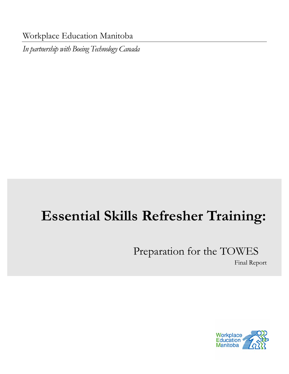Workplace Education Manitoba

*In partnership with Boeing Technology Canada* 

# **Essential Skills Refresher Training:**

# Preparation for the TOWES

Final Report

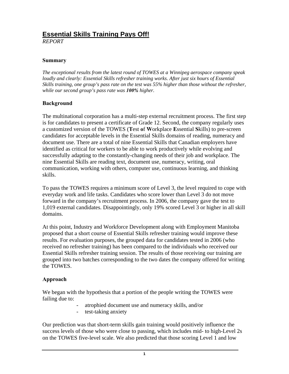# **Essential Skills Training Pays Off!**

*REPORT* 

#### **Summary**

*The exceptional results from the latest round of TOWES at a Winnipeg aerospace company speak loudly and clearly: Essential Skills refresher training works. After just six hours of Essential Skills training, one group's pass rate on the test was 55% higher than those without the refresher, while our second group's pass rate was 100% higher.* 

#### **Background**

The multinational corporation has a multi-step external recruitment process. The first step is for candidates to present a certificate of Grade 12. Second, the company regularly uses a customized version of the TOWES (**T**est **o**f **W**orkplace **E**ssential **S**kills) to pre-screen candidates for acceptable levels in the Essential Skills domains of reading, numeracy and document use. There are a total of nine Essential Skills that Canadian employers have identified as critical for workers to be able to work productively while evolving and successfully adapting to the constantly-changing needs of their job and workplace. The nine Essential Skills are reading text, document use, numeracy, writing, oral communication, working with others, computer use, continuous learning, and thinking skills.

To pass the TOWES requires a minimum score of Level 3, the level required to cope with everyday work and life tasks. Candidates who score lower than Level 3 do not move forward in the company's recruitment process. In 2006, the company gave the test to 1,019 external candidates. Disappointingly, only 19% scored Level 3 or higher in all skill domains.

At this point, Industry and Workforce Development along with Employment Manitoba proposed that a short course of Essential Skills refresher training would improve these results. For evaluation purposes, the grouped data for candidates tested in 2006 (who received no refresher training) has been compared to the individuals who received our Essential Skills refresher training session. The results of those receiving our training are grouped into two batches corresponding to the two dates the company offered for writing the TOWES.

#### **Approach**

We began with the hypothesis that a portion of the people writing the TOWES were failing due to:

- atrophied document use and numeracy skills, and/or
- test-taking anxiety

Our prediction was that short-term skills gain training would positively influence the success levels of those who were close to passing, which includes mid- to high-Level 2s on the TOWES five-level scale. We also predicted that those scoring Level 1 and low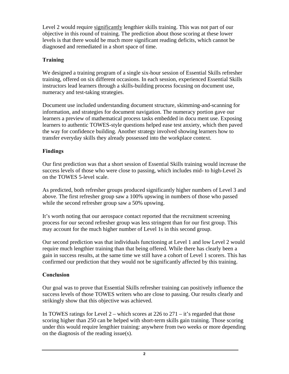Level 2 would require significantly lengthier skills training. This was not part of our objective in this round of training. The prediction about those scoring at these lower levels is that there would be much more significant reading deficits, which cannot be diagnosed and remediated in a short space of time.

# **Training**

We designed a training program of a single six-hour session of Essential Skills refresher training, offered on six different occasions. In each session, experienced Essential Skills instructors lead learners through a skills-building process focusing on document use, numeracy and test-taking strategies.

Document use included understanding document structure, skimming-and-scanning for information, and strategies for document navigation. The numeracy portion gave our learners a preview of mathematical process tasks embedded in docu ment use. Exposing learners to authentic TOWES-style questions helped ease test anxiety, which then paved the way for confidence building. Another strategy involved showing learners how to transfer everyday skills they already possessed into the workplace context.

## **Findings**

Our first prediction was that a short session of Essential Skills training would increase the success levels of those who were close to passing, which includes mid- to high-Level 2s on the TOWES 5-level scale.

As predicted, both refresher groups produced significantly higher numbers of Level 3 and above. The first refresher group saw a 100% upswing in numbers of those who passed while the second refresher group saw a 50% upswing.

It's worth noting that our aerospace contact reported that the recruitment screening process for our second refresher group was less stringent than for our first group. This may account for the much higher number of Level 1s in this second group.

Our second prediction was that individuals functioning at Level 1 and low Level 2 would require much lengthier training than that being offered. While there has clearly been a gain in success results, at the same time we still have a cohort of Level 1 scorers. This has confirmed our prediction that they would not be significantly affected by this training.

## **Conclusion**

Our goal was to prove that Essential Skills refresher training can positively influence the success levels of those TOWES writers who are close to passing. Our results clearly and strikingly show that this objective was achieved.

In TOWES ratings for Level  $2$  – which scores at 226 to  $271 - it$ 's regarded that those scoring higher than 250 can be helped with short-term skills gain training. Those scoring under this would require lengthier training: anywhere from two weeks or more depending on the diagnosis of the reading issue(s).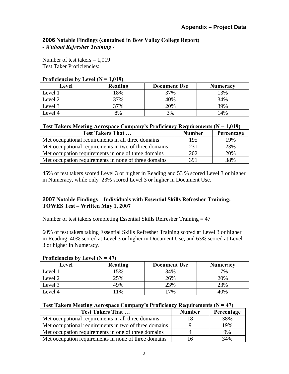#### **2006 Notable Findings (contained in Bow Valley College Report) -** *Without Refresher Training* **-**

Number of test takers  $= 1,019$ Test Taker Proficiencies:

| I FORGION DV LOVO (FC - 1,017) |         |                     |                 |
|--------------------------------|---------|---------------------|-----------------|
| Level                          | Reading | <b>Document Use</b> | <b>Numeracy</b> |
| Level 1                        | 18%     | 37%                 | 13%             |
| Level 2                        | 37%     | 40%                 | 34%             |
| Level 3                        | 37%     | 20%                 | 39%             |
| Level 4                        | 8%      | 3%                  | 14%             |

#### **Proficiencies by Level**  $(N = 1,019)$

#### **Test Takers Meeting Aerospace Company's Proficiency Requirements (N = 1,019)**

| <b>Test Takers That </b>                              | <b>Number</b> | Percentage |
|-------------------------------------------------------|---------------|------------|
| Met occupational requirements in all three domains    | 195           | 19%        |
| Met occupational requirements in two of three domains | 231           | 23%        |
| Met occupation requirements in one of three domains   | 202           | 20%        |
| Met occupation requirements in none of three domains  | 391           | 38%        |

45% of test takers scored Level 3 or higher in Reading and 53 % scored Level 3 or higher in Numeracy, while only 23% scored Level 3 or higher in Document Use.

#### **2007 Notable Findings – Individuals with Essential Skills Refresher Training: TOWES Test – Written May 1, 2007**

Number of test takers completing Essential Skills Refresher Training = 47

60% of test takers taking Essential Skills Refresher Training scored at Level 3 or higher in Reading, 40% scored at Level 3 or higher in Document Use, and 63% scored at Level 3 or higher in Numeracy.

| THURKHURS BY LUVULIT<br>T <i>I</i> I |         |                     |                 |
|--------------------------------------|---------|---------------------|-----------------|
| Level                                | Reading | <b>Document Use</b> | <b>Numeracy</b> |
| Level 1                              | 5%      | 34%                 | 17%             |
| Level 2                              | 25%     | 26%                 | 20%             |
| Level 3                              | 49%     | 23%                 | 23%             |
| Level 4                              | 1%      | 7%                  | 40%             |

#### **Proficiencies by Level (N = 47)**

|  |  | <b>Test Takers Meeting Aerospace Company's Proficiency Requirements (<math>N = 47</math>)</b> |
|--|--|-----------------------------------------------------------------------------------------------|
|  |  |                                                                                               |

| <b>Test Takers That </b>                              | <b>Number</b> | Percentage |
|-------------------------------------------------------|---------------|------------|
| Met occupational requirements in all three domains    |               | 38%        |
| Met occupational requirements in two of three domains |               | 19%        |
| Met occupation requirements in one of three domains   |               | 9%         |
| Met occupation requirements in none of three domains  |               | 34%        |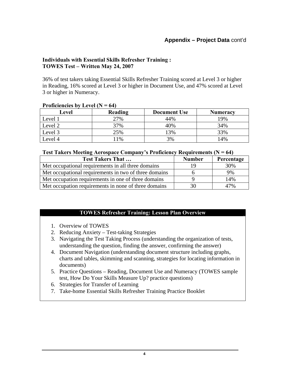## **Appendix – Project Data** cont'd

#### **Individuals with Essential Skills Refresher Training : TOWES Test – Written May 24, 2007**

36% of test takers taking Essential Skills Refresher Training scored at Level 3 or higher in Reading, 16% scored at Level 3 or higher in Document Use, and 47% scored at Level 3 or higher in Numeracy.

| ----------------- |         |                     |                 |
|-------------------|---------|---------------------|-----------------|
| Level             | Reading | <b>Document Use</b> | <b>Numeracy</b> |
| Level 1           | 27%     | 44%                 | 19%             |
| Level 2           | 37%     | 40%                 | 34%             |
| Level 3           | 25%     | 13%                 | 33%             |
| Level 4           | 1%      | 3%                  | 14%             |

#### **Proficiencies by Level (N = 64)**

#### **Test Takers Meeting Aerospace Company's Proficiency Requirements (N = 64)**

| <b>Test Takers That </b>                              | <b>Number</b> | Percentage |
|-------------------------------------------------------|---------------|------------|
| Met occupational requirements in all three domains    | 1 Q           | 30%        |
| Met occupational requirements in two of three domains |               | 9%         |
| Met occupation requirements in one of three domains   |               | 14%        |
| Met occupation requirements in none of three domains  | 30            | 47%        |

#### **TOWES Refresher Training: Lesson Plan Overview**

- 1. Overview of TOWES
- 2. Reducing Anxiety Test-taking Strategies
- 3. Navigating the Test Taking Process (understanding the organization of tests, understanding the question, finding the answer, confirming the answer)
- 4. Document Navigation (understanding document structure including graphs, charts and tables, skimming and scanning, strategies for locating information in documents)
- 5. Practice Questions Reading, Document Use and Numeracy (TOWES sample test, How Do Your Skills Measure Up? practice questions)
- 6. Strategies for Transfer of Learning
- 7. Take-home Essential Skills Refresher Training Practice Booklet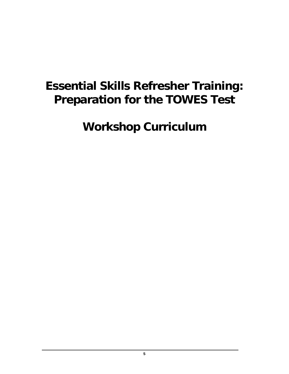# **Essential Skills Refresher Training: Preparation for the TOWES Test**

**Workshop Curriculum**